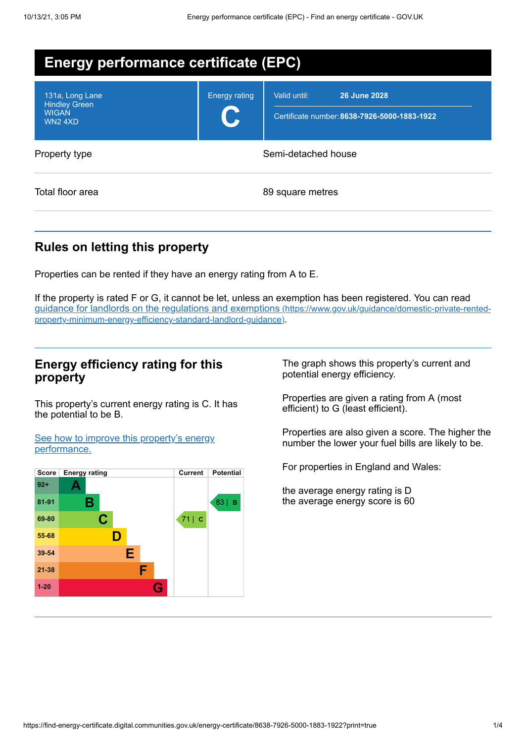| <b>Energy performance certificate (EPC)</b>                              |                      |                                                                                     |  |  |
|--------------------------------------------------------------------------|----------------------|-------------------------------------------------------------------------------------|--|--|
| 131a, Long Lane<br><b>Hindley Green</b><br><b>WIGAN</b><br><b>WN24XD</b> | <b>Energy rating</b> | <b>26 June 2028</b><br>Valid until:<br>Certificate number: 8638-7926-5000-1883-1922 |  |  |
| Property type                                                            | Semi-detached house  |                                                                                     |  |  |
| Total floor area                                                         | 89 square metres     |                                                                                     |  |  |

## **Rules on letting this property**

Properties can be rented if they have an energy rating from A to E.

If the property is rated F or G, it cannot be let, unless an exemption has been registered. You can read guidance for landlords on the regulations and exemptions (https://www.gov.uk/guidance/domestic-private-rented[property-minimum-energy-efficiency-standard-landlord-guidance\)](https://www.gov.uk/guidance/domestic-private-rented-property-minimum-energy-efficiency-standard-landlord-guidance).

## **Energy efficiency rating for this property**

This property's current energy rating is C. It has the potential to be B.

See how to improve this property's energy [performance.](#page-2-0)



The graph shows this property's current and potential energy efficiency.

Properties are given a rating from A (most efficient) to G (least efficient).

Properties are also given a score. The higher the number the lower your fuel bills are likely to be.

For properties in England and Wales:

the average energy rating is D the average energy score is 60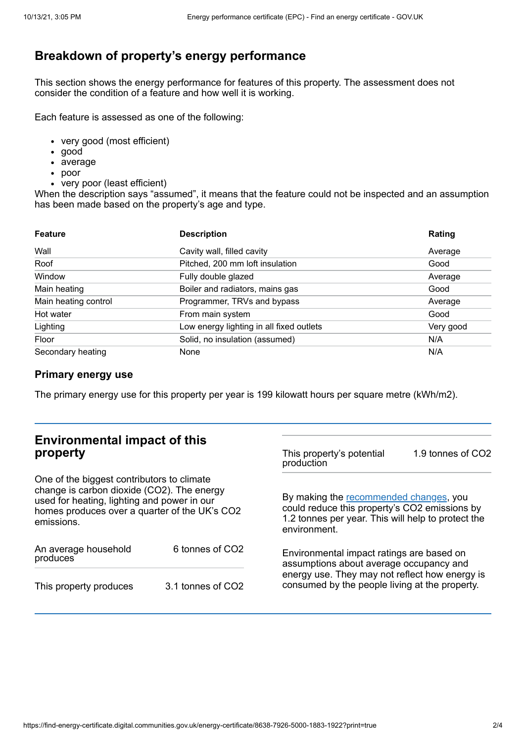# **Breakdown of property's energy performance**

This section shows the energy performance for features of this property. The assessment does not consider the condition of a feature and how well it is working.

Each feature is assessed as one of the following:

- very good (most efficient)
- good
- average
- poor
- very poor (least efficient)

When the description says "assumed", it means that the feature could not be inspected and an assumption has been made based on the property's age and type.

| <b>Feature</b>       | <b>Description</b>                       | Rating    |
|----------------------|------------------------------------------|-----------|
| Wall                 | Cavity wall, filled cavity               | Average   |
| Roof                 | Pitched, 200 mm loft insulation          | Good      |
| Window               | Fully double glazed                      | Average   |
| Main heating         | Boiler and radiators, mains gas          | Good      |
| Main heating control | Programmer, TRVs and bypass              | Average   |
| Hot water            | From main system                         | Good      |
| Lighting             | Low energy lighting in all fixed outlets | Very good |
| Floor                | Solid, no insulation (assumed)           | N/A       |
| Secondary heating    | None                                     | N/A       |

### **Primary energy use**

The primary energy use for this property per year is 199 kilowatt hours per square metre (kWh/m2).

| <b>Environmental impact of this</b><br>property                                                                                                                                                        |                   | This property's potential<br>production                                                                                                                                                  | 1.9 tonnes of CO2 |
|--------------------------------------------------------------------------------------------------------------------------------------------------------------------------------------------------------|-------------------|------------------------------------------------------------------------------------------------------------------------------------------------------------------------------------------|-------------------|
| One of the biggest contributors to climate<br>change is carbon dioxide (CO2). The energy<br>used for heating, lighting and power in our<br>homes produces over a quarter of the UK's CO2<br>emissions. |                   | By making the recommended changes, you<br>could reduce this property's CO2 emissions by<br>1.2 tonnes per year. This will help to protect the<br>environment.                            |                   |
| An average household<br>produces                                                                                                                                                                       | 6 tonnes of CO2   | Environmental impact ratings are based on<br>assumptions about average occupancy and<br>energy use. They may not reflect how energy is<br>consumed by the people living at the property. |                   |
| This property produces                                                                                                                                                                                 | 3.1 tonnes of CO2 |                                                                                                                                                                                          |                   |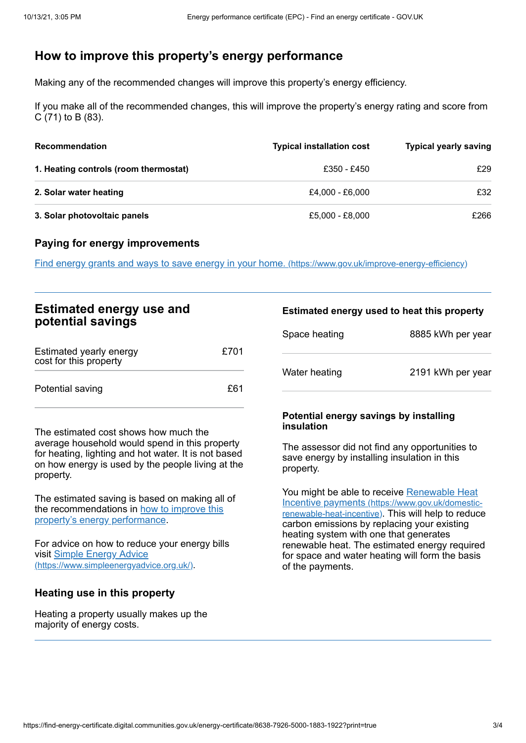# <span id="page-2-0"></span>**How to improve this property's energy performance**

Making any of the recommended changes will improve this property's energy efficiency.

If you make all of the recommended changes, this will improve the property's energy rating and score from C (71) to B (83).

| <b>Recommendation</b>                 | <b>Typical installation cost</b> | <b>Typical yearly saving</b> |
|---------------------------------------|----------------------------------|------------------------------|
| 1. Heating controls (room thermostat) | £350 - £450                      | £29                          |
| 2. Solar water heating                | £4.000 - £6.000                  | £32                          |
| 3. Solar photovoltaic panels          | £5,000 - £8,000                  | £266                         |

#### **Paying for energy improvements**

Find energy grants and ways to save energy in your home. [\(https://www.gov.uk/improve-energy-efficiency\)](https://www.gov.uk/improve-energy-efficiency)

## **Estimated energy use and potential savings**

| Estimated yearly energy<br>cost for this property | £701 |
|---------------------------------------------------|------|
| Potential saving                                  | £61  |

The estimated cost shows how much the average household would spend in this property for heating, lighting and hot water. It is not based on how energy is used by the people living at the property.

The estimated saving is based on making all of the [recommendations](#page-2-0) in how to improve this property's energy performance.

For advice on how to reduce your energy bills visit Simple Energy Advice [\(https://www.simpleenergyadvice.org.uk/\)](https://www.simpleenergyadvice.org.uk/).

### **Heating use in this property**

Heating a property usually makes up the majority of energy costs.

#### **Estimated energy used to heat this property**

| Space heating | 8885 kWh per year |
|---------------|-------------------|
| Water heating | 2191 kWh per year |

#### **Potential energy savings by installing insulation**

The assessor did not find any opportunities to save energy by installing insulation in this property.

You might be able to receive Renewable Heat Incentive payments [\(https://www.gov.uk/domestic](https://www.gov.uk/domestic-renewable-heat-incentive)renewable-heat-incentive). This will help to reduce carbon emissions by replacing your existing heating system with one that generates renewable heat. The estimated energy required for space and water heating will form the basis of the payments.